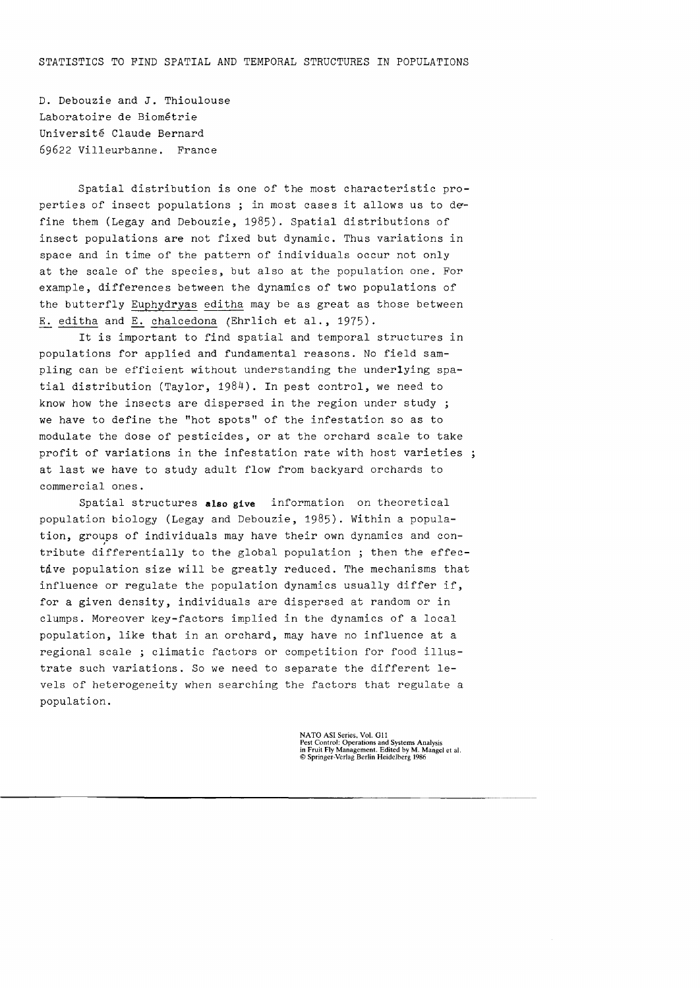D. Debouzie and J. Thioulouse Laboratoire de Biometrie Universite Claude Bernard 69622 Villeurbanne. France

Spatial distribution is one of the most characteristic properties of insect populations ; in most cases it allows us to define them (Legay and Debouzie, 1985). Spatial distributions of insect populations are not fixed but dynamic. Thus variations in space and in time of the pattern of individuals occur not only at the scale of the species, but also at the population one. For example, differences between the dynamics of two populations of the butterfly Euphydryas editha may be as great as those between E. editha and E. chalcedona (Ehrlich et al., 1975).

It is important to find spatial and temporal structures in populations for applied and fundamental reasons. No field sampling can be efficient without understanding the underlying spatial distribution (Taylor, 1984). In pest control, we need to know how the insects are dispersed in the region under study ; we have to define the "hot spots" of the infestation so as to modulate the dose of pesticides, or at the orchard scale to take profit of variations in the infestation rate with host varieties at last we have to study adult flow from backyard orchards to commercial ones.

Spatial structures **also give** information on theoretical population biology (Legay and Debouzie, 1985). Within a population, groups of individuals may have their own dynamics and contribute differentially to the global population ; then the effectdve population size will be greatly reduced. The mechanisms that influence or regulate the population dynamics usually differ if, for a given density, individuals are dispersed at random or in clumps. Moreover key-factors implied in the dynamics of a local population, like that in an orchard, may have no influence at a regional scale ; climatic factors or competition for food illustrate such variations. So we need to separate the different levels of heterogeneity when searching the factors that regulate a population.

NATO ASI Series, Vol. G11<br>Pest Control: Operations and Systems Analysis<br>in Fruit Fly Management. Edited by M. Mangel et al.<br>© Springer-Verlag Berlin Heidelberg 1986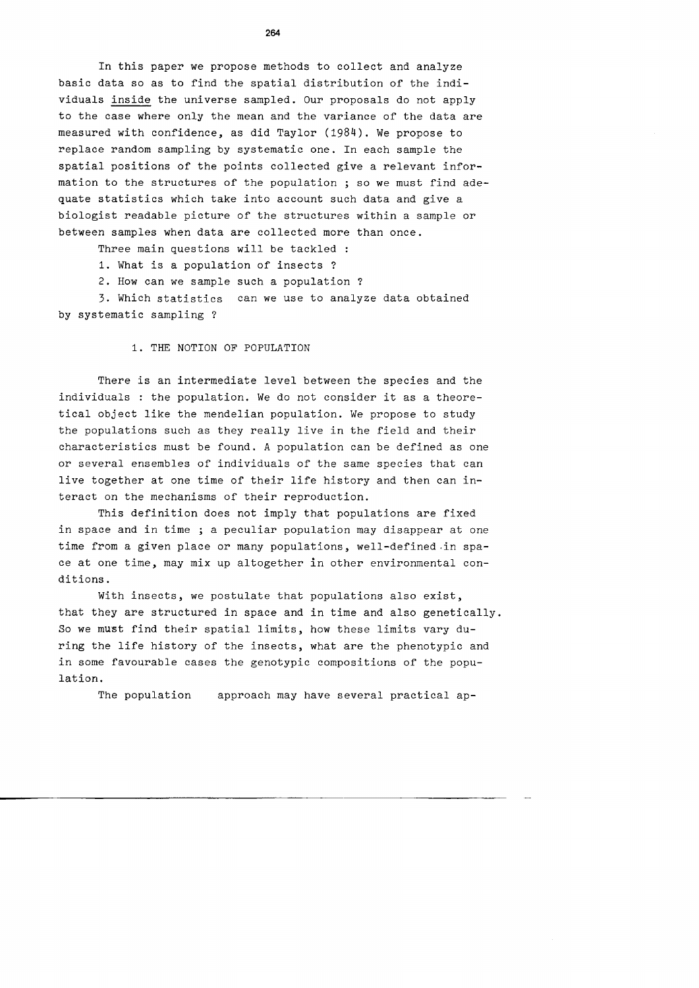In this paper we propose methods to collect and analyze basic data so as to find the spatial distribution of the individuals inside the universe sampled. Our proposals do not apply to the case where only the mean and the variance or the data are measured with conridence, as did Taylor (1984). We propose to replace random sampling by systematic one. In each sample the spatial positions of the points collected give a relevant information to the structures or the population ; so we must find adequate statistics which take into account such data and give a biologist readable picture or the structures within a sample or between samples when data are collected more than once.

Three main questions will be tackled :

1. What is a population or insects ?

2. How can we sample such a population ?

3. Which statistics can we use to analyze data obtained by systematic sampling ?

1. THE NOTION OF POPULATION

There is an intermediate level between the species and the individuals : the population. We do not consider it as a theoretical object like the mendelian population. We propose to study the populations such as they really live in the rield and their characteristics must be found. A population can be defined as one or several ensembles or individuals of the same species that can live together at one time of their life history and then can interact on the mechanisms of their reproduction.

This definition does not imply that populations are fixed in space and in time ; a peculiar population may disappear at one time from a given place or many populations, well-defined in space at one time, may mix up altogether in other environmental conditions.

With insects, we postulate that populations also exist, that they are structured in space and in time and also genetically. So we must find their spatial limits, how these limits vary during the life history of the insects, what are the phenotypic and in some favourable cases the genotypic compositions of the population.

The population approach may have several practical ap-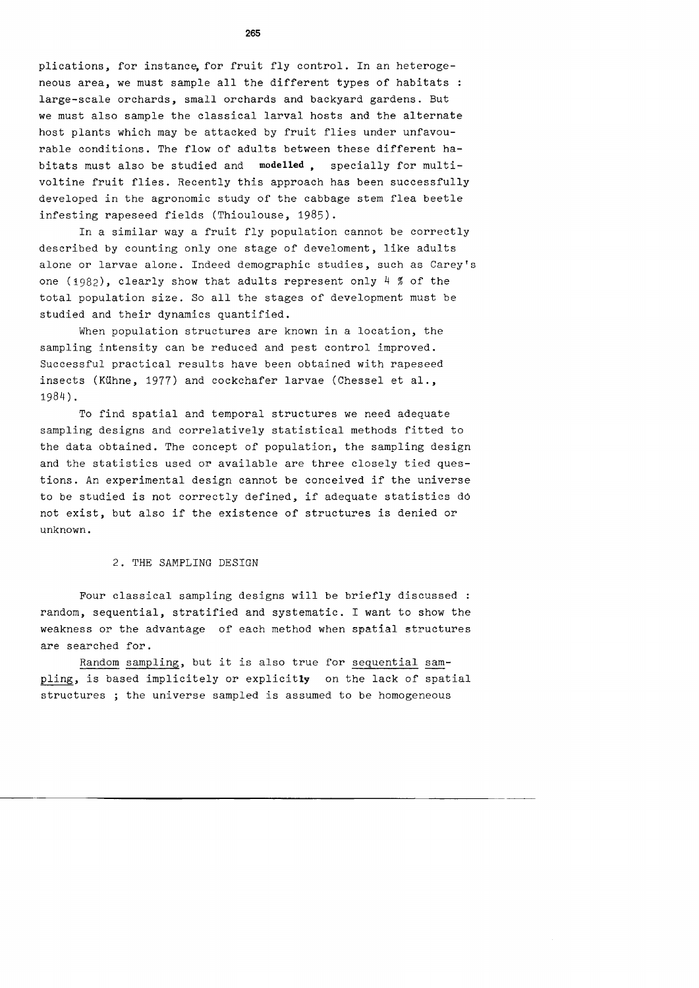plications, for instance for fruit fly control. In an heterogeneous area, we must sample all the different types of habitats large-scale orchards, small orchards and backyard gardens. But we must also sample the classical larval hosts and the alternate host plants which may be attacked by fruit flies under unfavourable conditions. The flow of adults between these different habitats must also be studied and **modelled** , specially for multivoltine fruit flies. Recently this approach has been successfully developed in the agronomic study of the cabbage stem flea beetle infesting rapeseed fields (Thioulouse, 1985).

In a similar way a fruit fly population cannot be correctly described by counting only one stage of develoment, like adults alone or larvae alone. Indeed demographic studies, such as Carey's one (1982), clearly show that adults represent only  $4 \n%$  of the total population size. So all the stages of development must be studied and their dynamics quantified.

When population structures are known in a location, the sampling intensity can be reduced and pest control improved. Successful practical results have been obtained with rapeseed insects (Kühne, 1977) and cockchafer larvae (Chessel et al., 1984).

To find spatial and temporal structures we need adequate sampling designs and correlatively statistical methods fitted to the data obtained. The concept of population, the sampling design and the statistics used or available are three closely tied questions. An experimental design cannot be conceived if the universe to be studied is not correctly defined, if adequate statistics d6 not exist, but also if the existence of structures is denied or unknown.

#### 2. THE SAMPLING DESIGN

Four classical sampling designs will be briefly discussed : random, sequential, stratified and systematic. I want to show the weakness or the advantage of each method when spatial structures are searched for.

Random sampling, but it is also true for sequential sampling, is based implicitely or explicitly on the lack of spatial structures ; the universe sampled is assumed to be homogeneous

-------------------------------------------------------------------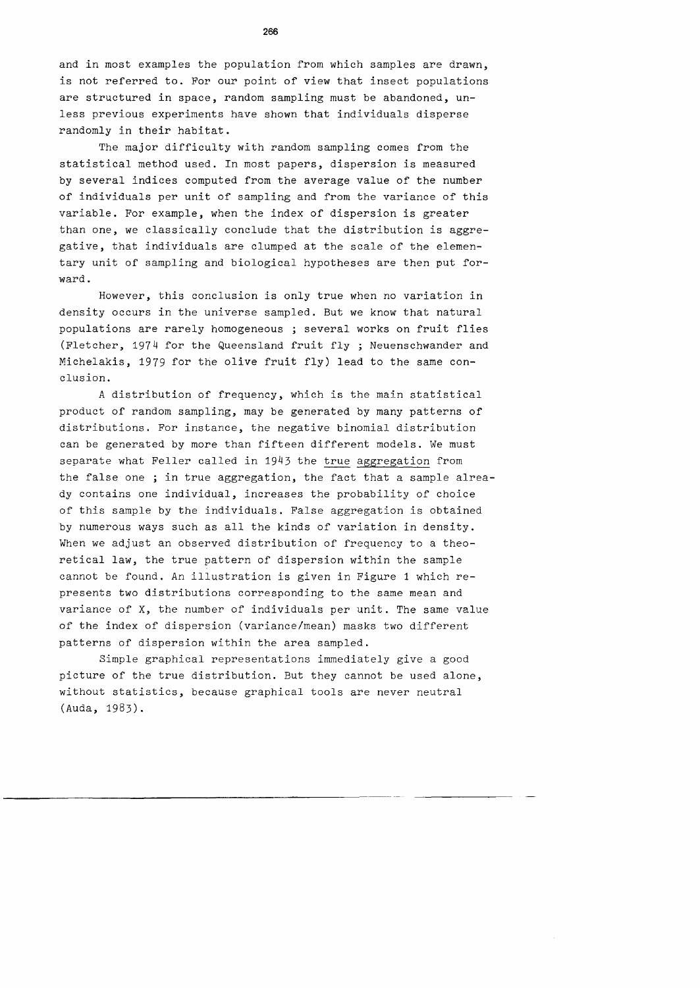and in most examples the population from which samples are drawn, is not referred to. For our point of view that insect populations are structured in space, random sampling must be abandoned, unless previous experiments have shown that individuals disperse randomly in their habitat.

The major difficulty with random sampling comes from the statistical method used. In most papers, dispersion is measured by several indices computed from the average value of the number of individuals per unit of sampling and from the variance of this variable. For example, when the index of dispersion is greater than one, we classically conclude that the distribution is aggregative, that individuals are clumped at the scale of the elementary unit of sampling and biological hypotheses are then put forward.

However, this conclusion is only true when no variation in density occurs in the universe sampled. But we know that natural populations are rarely homogeneous ; several works on fruit flies (Fletcher, 1974 for the Queensland fruit fly ; Neuenschwander and Michelakis, 1979 for the olive fruit fly) lead to the same conclusion.

A distribution of frequency, which is the main statistical product of random sampling, may be generated by many patterns of distributions. For instance, the negative binomial distribution can be generated by more than fifteen different models. We must separate what Feller called in 1943 the true aggregation from the false one ; in true aggregation, the fact that a sample already contains one individual, increases the probability of choice of this sample by the individuals. False aggregation is obtained by numerous ways such as all the kinds of variation in density. When we adjust an observed distribution of frequency to a theoretical law, the true pattern of dispersion within the sample cannot be found. An illustration is given in Figure 1 which represents two distributions corresponding to the same mean and variance of X, the number of individuals per unit. The same value of the index of dispersion (variance/mean) masks two different patterns of dispersion within the area sampled.

Simple graphical representations immediately give a good picture of the true distribution. But they cannot be used alone, without statistics, because graphical tools are never neutral (Auda, 1983).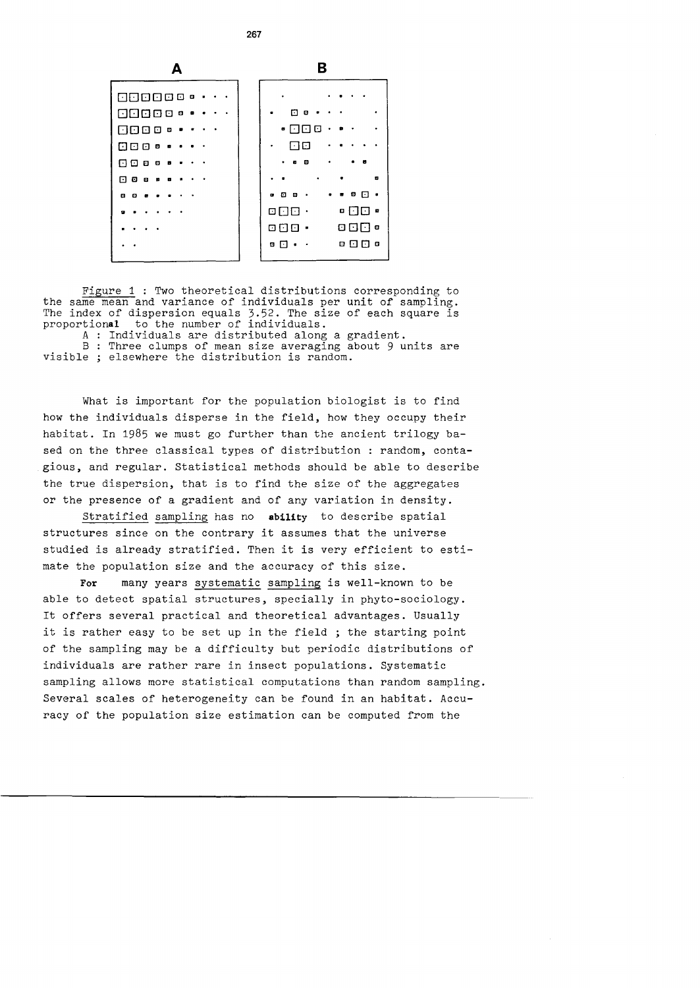

**267** 

Figure 1 : Two theoretical distributions corresponding to the same mean and variance of individuals per unit of sampling. The index of dispersion equals 3.52. The size of each square is proportional to the number of individuals.

A : Individuals are distributed along a gradient. B : Three clumps of mean size averaging about 9 units are visible ; elsewhere the distribution is random.

What is important for the population biologist is to find how the individuals disperse in the field, how they occupy their habitat. In 1985 we must go further than the ancient trilogy based on the three classical types of distribution : random, contagious, and regular. Statistical methods should be able to describe the true dispersion, that is to find the size of the aggregates or the presence of a gradient and of any variation in density.

Stratified sampling has no **ability** to describe spatial structures since on the contrary it assumes that the universe studied is already stratified. Then it is very efficient to estimate the population size and the accuracy of this size.

**For** many years systematic sampling is well-known to be able to detect spatial structures, specially in phyto-sociology. It offers several practical and theoretical advantages. Usually it is rather easy to be set up in the field ; the starting point of the sampling may be a difficulty but periodic distributions of individuals are rather rare in insect populations. Systematic sampling allows more statistical computations than random sampling. Several scales of heterogeneity can be found in an habitat. Accuracy of the population size estimation can be computed from the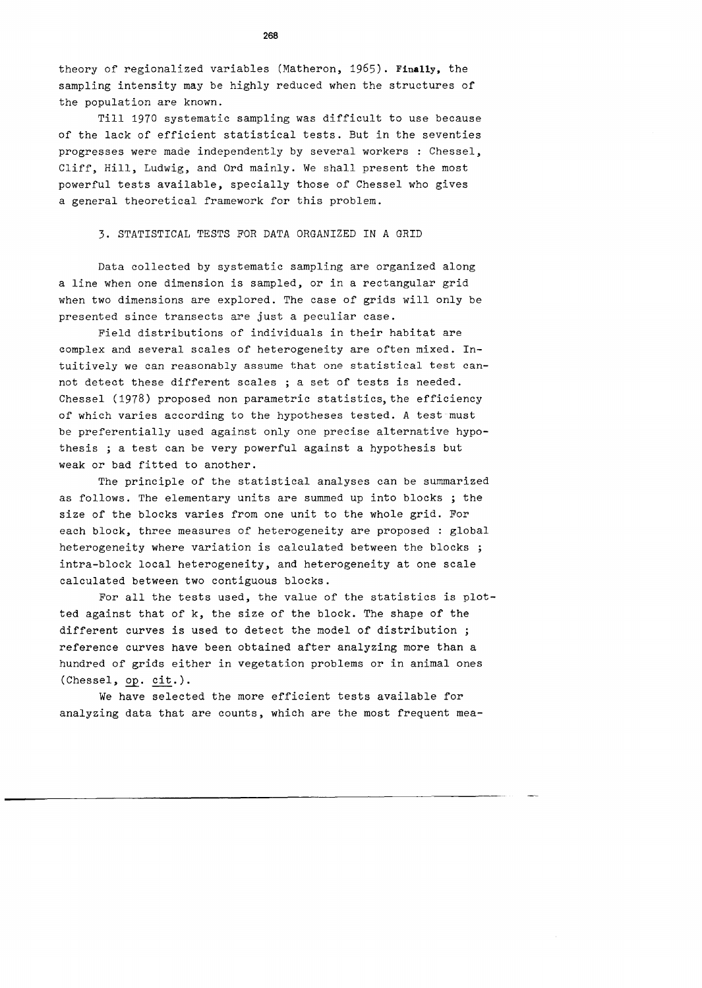theory of regionalized variables (Matheron, 1965). **Finally,** the sampling intensity may be highly reduced when the structures of the population are known.

Till 1970 systematic sampling was difficult to use because of the lack of efficient statistical tests. But in the seventies progresses were made independently by several workers : Chessel, Cliff, Hill, Ludwig, and Ord mainly. We shall present the most powerful tests available, specially those of Chessel who gives a general theoretical framework for this problem.

### 3. STATISTICAL TESTS FOR DATA ORGANIZED IN A GRID

Data collected by systematic sampling are organized along a line when one dimension is sampled, or in a rectangular grid when two dimensions are explored. The case of grids will only be presented since transects are just a peculiar case.

Field distributions of individuals in their habitat are complex and several scales of heterogeneity are often mixed. Intuitively we can reasonably assume that one statistical test cannot detect these different scales ; a set of tests is needed. Chessel (1978) proposed non parametric statistics, the efficiency of which varies according to the hypotheses tested. A test must be preferentially used against only one precise alternative hypothesis ; a test can be very powerful against a hypothesis but weak or bad fitted to another.

The principle of the statistical analyses can be summarized as follows. The elementary units are summed up into blocks ; the size of the blocks varies from one unit to the whole grid. For each block, three measures of heterogeneity are proposed : global heterogeneity where variation is calculated between the blocks ; intra-block local heterogeneity, and heterogeneity at one scale calculated between two contiguous blocks.

For all the tests used, the value of the statistics is plotted against that of k, the size of the block. The shape of the different curves is used to detect the model of distribution ; reference curves have been obtained after analyzing more than a hundred of grids either in vegetation problems or in animal ones (Chessel, op. cit.).

We have selected the more efficient tests available for analyzing data that are counts, which are the most frequent mea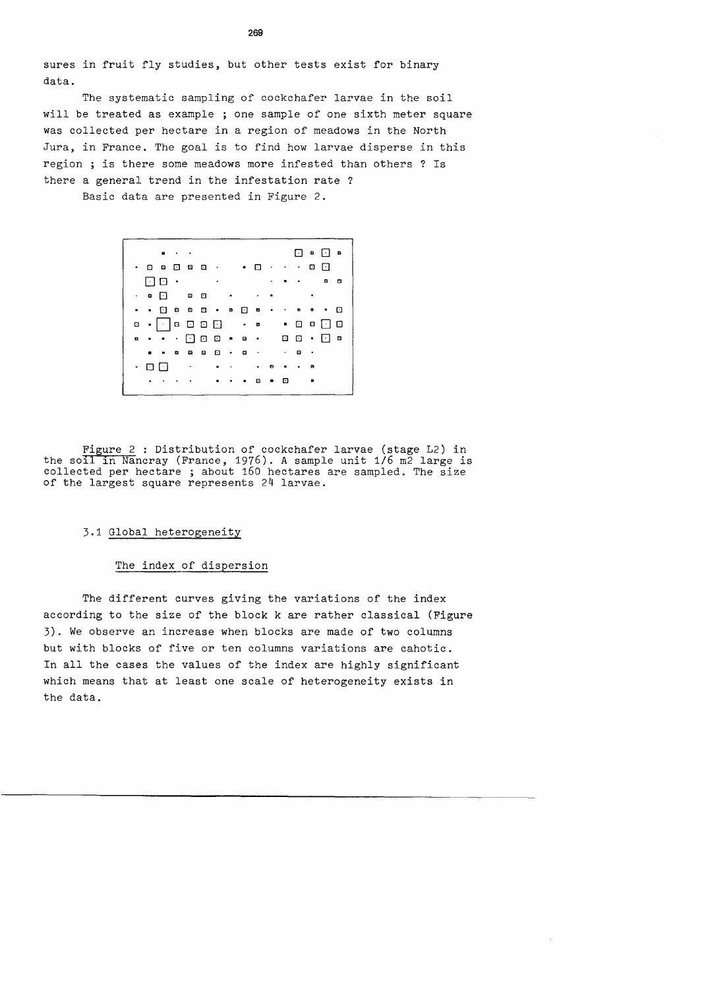sures in fruit fly studies, but other tests exist for binary data.

The systematic sampling of cockchafer larvae in the soil will be treated as example ; one sample of one sixth meter square was collected per hectare in a region of meadows in the North Jura, in France. The goal is to find how larvae disperse in this region ; is there some meadows more infested than others ? Is there a general trend in the infestation rate ?

Basic data are presented in Figure 2.

 $\Box$   $\circ$   $\Box$   $\circ$  $\cdot$  0 0 0 0 0  $\cdot$  0  $\cdot$  0 0  $\cdot$   $\cdot$  0 0  $\cdot$ 0 0 Q B  $\cdot$  0  $\Box$  0  $\Box$ . . 0 B B D a 0 **a** . <sup>0</sup> <sup>8</sup>. De 0 0 0 a . 0 8 0 0 <sup>a</sup>. . 0 0 0 . B 0 0 0 B a B B 0 B B  $\cdot$  0 0  $\overline{0}$  .  $\mathcal{L}_{\mathbf{a}}$  $\bullet$  .  $\bullet$  $\sim$  $\sim$  . 

Figure 2 : Distribution of cockchafer larvae (stage L2) in the soll in Nancray (France, 1976). A sample unit 1/6 m2 large is collected per hectare ; about 160 hectares are sampled. The size of the largest square represents 24 larvae.

# 3.1 Global heterogeneity

### The index of dispersion

The different curves giving the variations of the index according to the size of the block k are rather classical (Figure 3). We observe an increase when blocks are made of two columns but with blocks of five or ten columns variations are cahotic. In all the cases the values of the index are highly significant which means that at least one scale of heterogeneity exists in the data.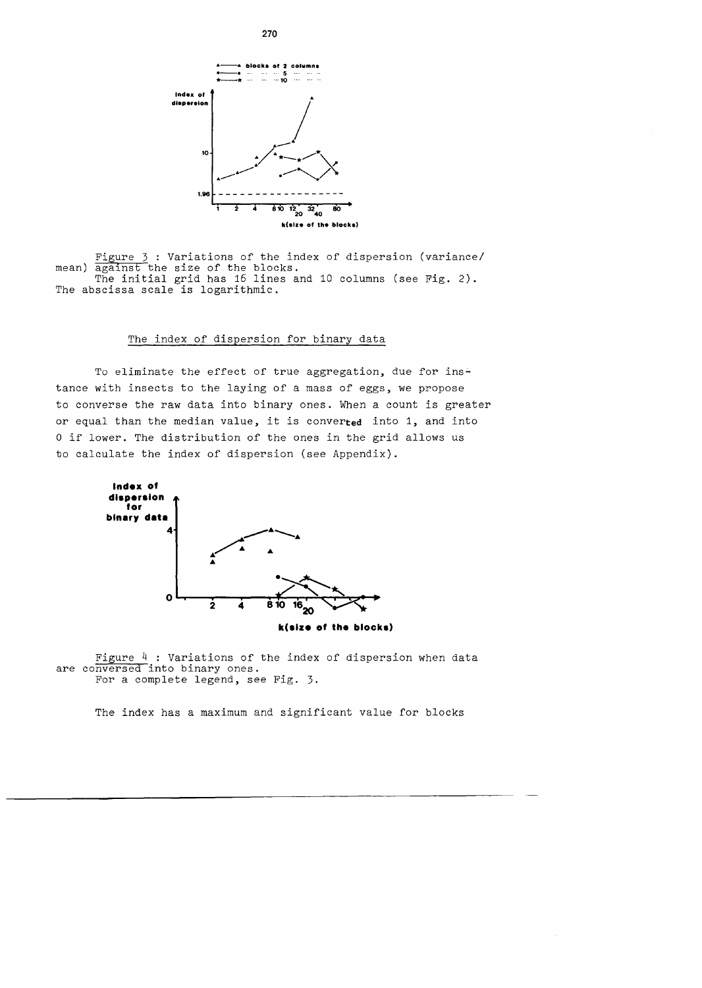

Figure 3 : Variations of the index of dispersion (variance/ mean) against the size of the blocks.<br>The initial grid has 16 lines and 10 columns (see Fig. 2). The abscissa scale is logarithmic.

# The index of dispersion for binary data

To eliminate the effect of true aggregation, due for instance with insects to the laying of a mass of eggs, we propose to converse the raw data into binary ones. When a count is greater or equal than the median value, it is converted into 1, and into 0 if lower. The distribution of the ones in the grid allows us to calculate the index of dispersion (see Appendix).



**k(alze of the blocka)** 

Figure 4 : Variations of the index of dispersion when data are conversed into binary ones. For a complete legend, see Fig. 3.

The index has a maximum and significant value for blocks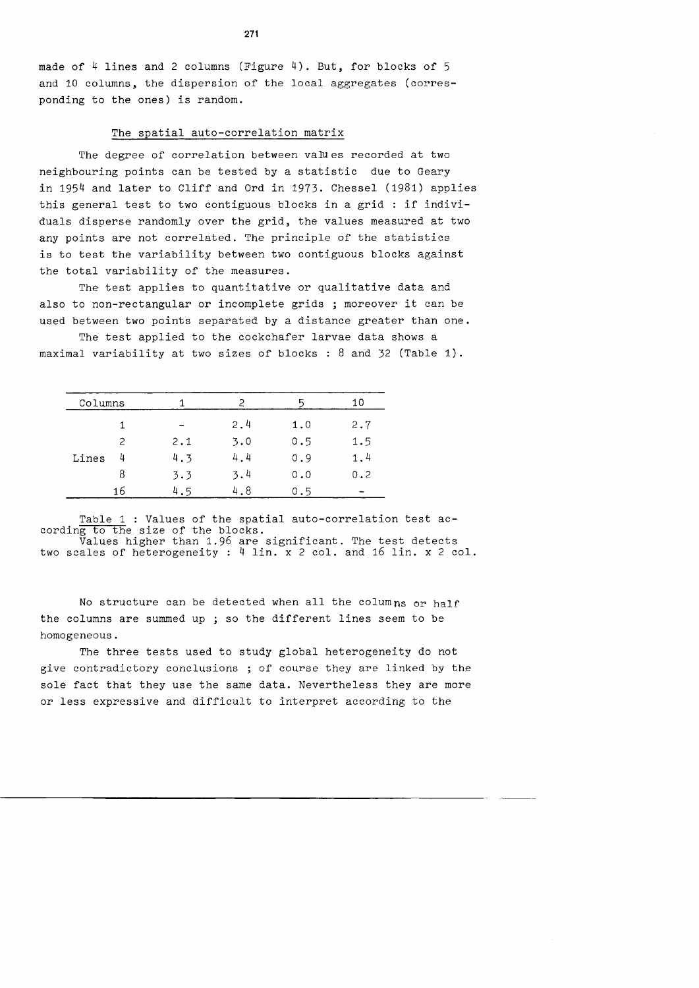made of  $4$  lines and 2 columns (Figure  $4$ ). But, for blocks of 5 and 10 columns, the dispersion of the local aggregates (corresponding to the ones) is random.

### The spatial auto-correlation matrix

The degree of correlation between values recorded at two neighbouring points can be tested by a statistic due to Geary in 1954 and later to Cliff and Ord in 1973. Chessel (1981) applies this general test to two contiguous blocks in a grid : if individuals disperse randomly over the grid, the values measured at two any points are not correlated. The principle of the statistics is to test the variability between two contiguous blocks against the total variability of the measures.

The test applies to quantitative or qualitative data and also to non-rectangular or incomplete grids ; moreover it can be used between two points separated by a distance greater than one.

The test applied to the cockchafer larvae data shows a maximal variability at two sizes of blocks : 8 and 32 (Table 1).

| Columns |               |     | 2   | n   | 10  |
|---------|---------------|-----|-----|-----|-----|
|         |               |     | 2.4 | 1.0 | 2.7 |
|         | $\mathcal{P}$ | 2.1 | 3.0 | 0.5 | 1.5 |
| Lines   | 4             | 4.3 | 4.4 | 0.9 | 1.4 |
|         | 8             | 3.3 | 3.4 | 0.0 | 0.2 |
|         | 16            | 4.5 | 4.8 | 0.5 |     |

Table 1 : Values of the spatial auto-correlation test according to the size of the blocks. Values higher than 1.96 are significant. The test detects

two scales of heterogeneity : 4 lin. x 2 col. and 16 lin. x 2 col.

No structure can be detected when all the columns or half the columns are summed up ; so the different lines seem to be homogeneous.

The three tests used to study global heterogeneity do not give contradictory conclusions ; of course they are linked by the sole fact that they use the same data. Nevertheless they are more or less expressive and difficult to interpret according to the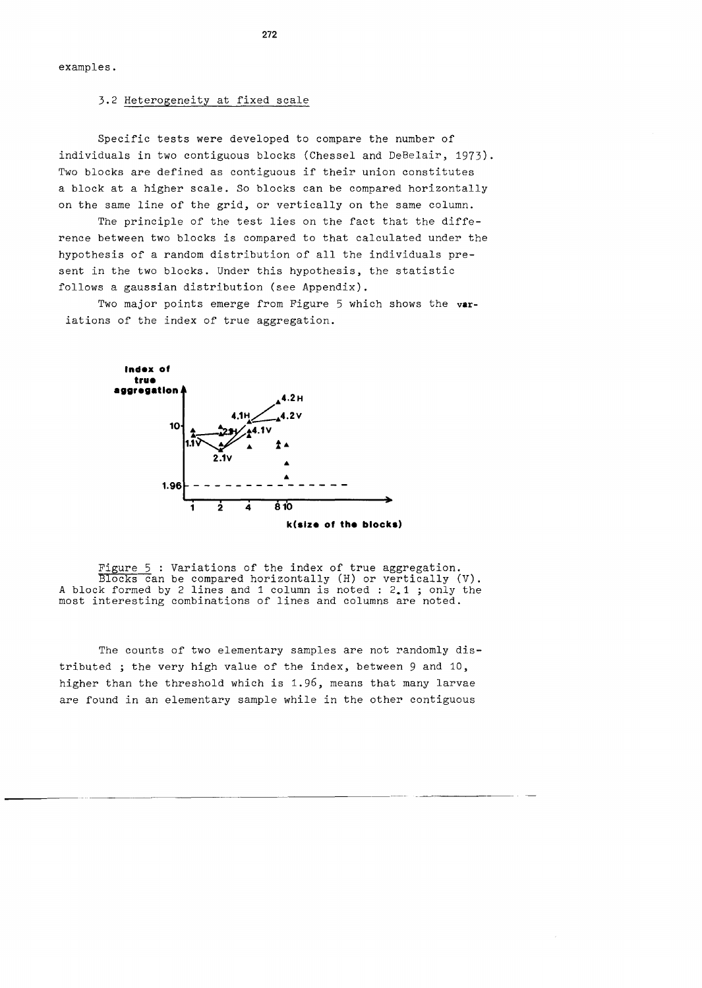examples.

## 3.2 Heterogeneity at fixed scale

Specific tests were developed to compare the number of individuals in two contiguous blocks (Chessel and DeBelair, 1973). Two blocks are defined as contiguous if their union constitutes a block at a higher scale. So blocks can be compared horizontally on the same line of the grid, or vertically on the same column.

The principle of the test lies on the fact that the difference between two blocks is compared to that calculated under the hypothesis of a random distribution of all the individuals present in the two blocks. Under this hypothesis, the statistic follows a gaussian distribution (see Appendix).

Two major points emerge from Figure 5 which shows the **var**iations of the index of true aggregation.



Figure 5 : Variations of the index of true aggregation. Blocks can be compared horizontally (H) or vertically (V). A block formed by 2 lines and 1 column is noted : 2.1 ; only the most interesting combinations of lines and columns are noted.

The counts of two elementary samples are not randomly distributed ; the very high value of the index, between 9 and 10, higher than the threshold which is 1.96, means that many larvae are found in an elementary sample while in the other contiguous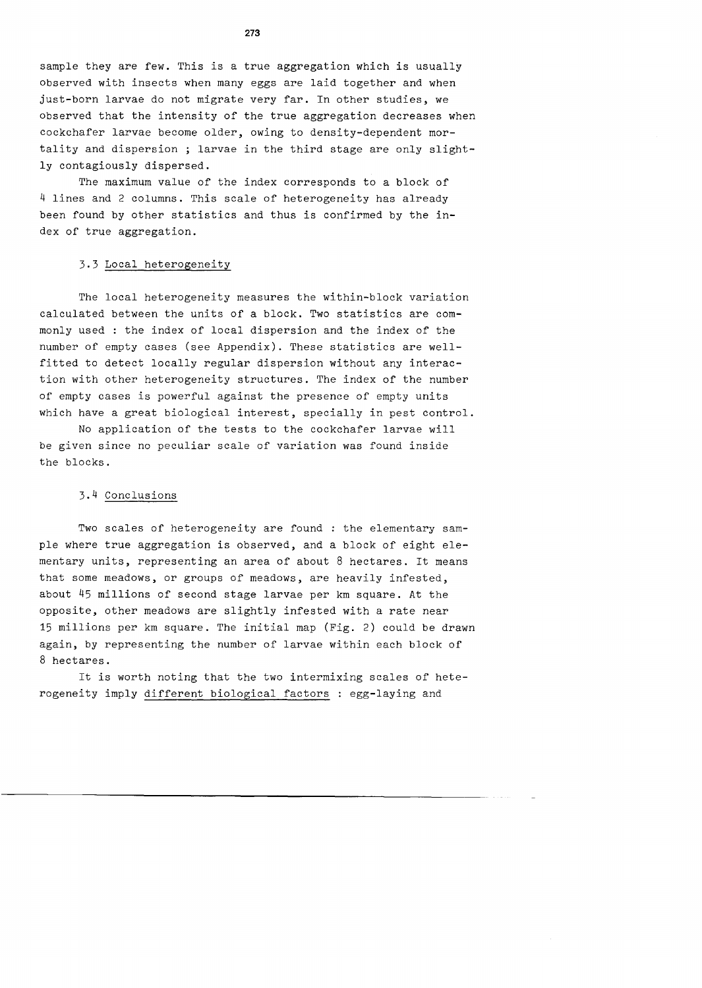sample they are few. This is a true aggregation which is usually observed with insects when many eggs are laid together and when just-born larvae do not migrate very far. In other studies, we observed that the intensity of the true aggregation decreases when cockchafer larvae become older, owing to density-dependent mortality and dispersion ; larvae in the third stage are only slightly contagiously dispersed.

The maximum value of the index corresponds to a block of 4 lines and 2 columns. This scale of heterogeneity has already been found by other statistics and thus is confirmed by the index of true aggregation.

# 3.3 Local heterogeneity

The local heterogeneity measures the within-block variation calculated between the units of a block. Two statistics are commonly used : the index of local dispersion and the index of the number of empty cases (see Appendix). These statistics are wellfitted to detect locally regular dispersion without any interaction with other heterogeneity structures. The index of the number of empty cases is powerful against the presence of empty units which have a great biological interest, specially in pest control.

No application of the tests to the cockchafer larvae will be given since no peculiar scale of variation was found inside the blocks.

# 3.4 Conclusions

Two scales of heterogeneity are found : the elementary sample where true aggregation is observed, and a block of eight elementary units, representing an area of about 8 hectares. It means that some meadows, or groups of meadows, are heavily infested, about 45 millions of second stage larvae per km square. At the opposite, other meadows are slightly infested with a rate near 15 millions per km square. The initial map (Fig. 2) could be drawn again, by representing the number of larvae within each block of 8 hectares.

It is worth noting that the two intermixing scales of heterogeneity imply different biological factors : egg-laying and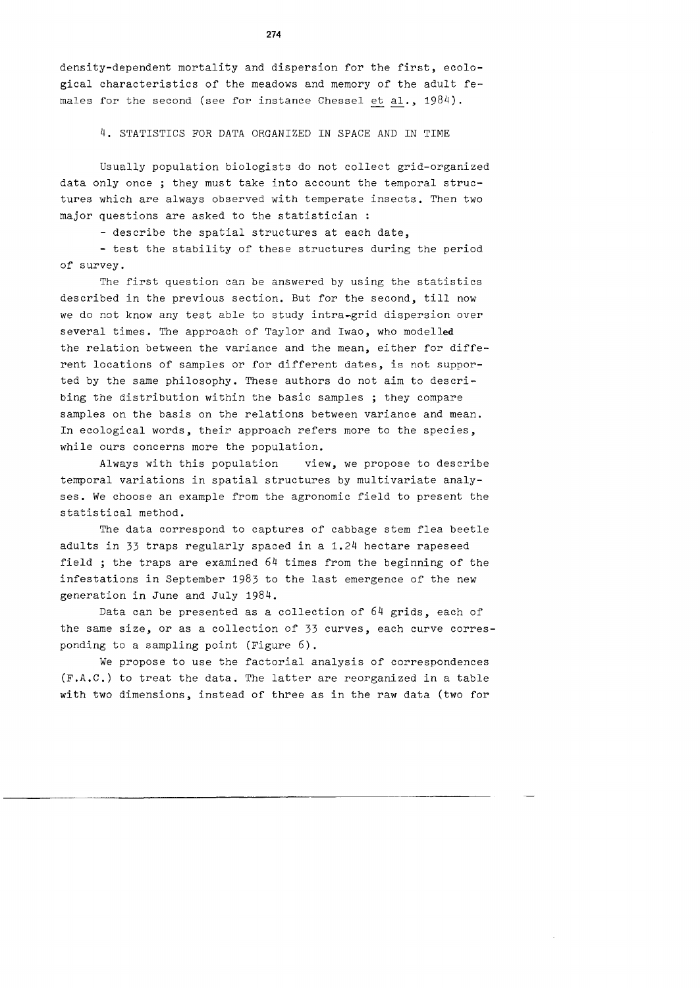density-dependent mortality and dispersion for the first, ecological characteristics of the meadows and memory of the adult females for the second (see for instance Chessel et al., 1984).

4. STATISTICS FOR DATA ORGANIZED IN SPACE AND IN TIME

Usually population biologists do not collect grid-organized data only once ; they must take into account the temporal structures which are always observed with temperate insects. Then two major questions are asked to the statistician :

- describe the spatial structures at each date,

- test the stability of these structures during the period of survey.

The first question can be answered by using the statistics described in the previous section. But for the second, till now we do not know any test able to study intra-grid dispersion over several times. The approach of Taylor and Iwao, who modelled the relation between the variance and the mean, either for different locations of samples or for different dates, is not supported by the same philosophy. These authors do not aim to describing the distribution within the basic samples ; they compare samples on the basis on the relations between variance and mean. In ecological words, their approach refers more to the species, while ours concerns more the population.

Always with this population view, we propose to describe temporal variations in spatial structures by multivariate analyses. We choose an example from the agronomic field to present the statistical method.

The data correspond to captures of cabbage stem flea beetle adults in 33 traps regularly spaced in a 1.24 hectare rapeseed field ; the traps are examined 64 times from the beginning of the infestations in September 1983 to the last emergence of the new generation in June and July 1984.

Data can be presented as a collection of 64 grids, each of the same size, or as a collection of 33 curves, each curve corresponding to a sampling point (Figure 6).

We propose to use the factorial analysis of correspondences (F.A.C.) to treat the data. The latter are reorganized in a table with two dimensions, instead of three as in the raw data (two for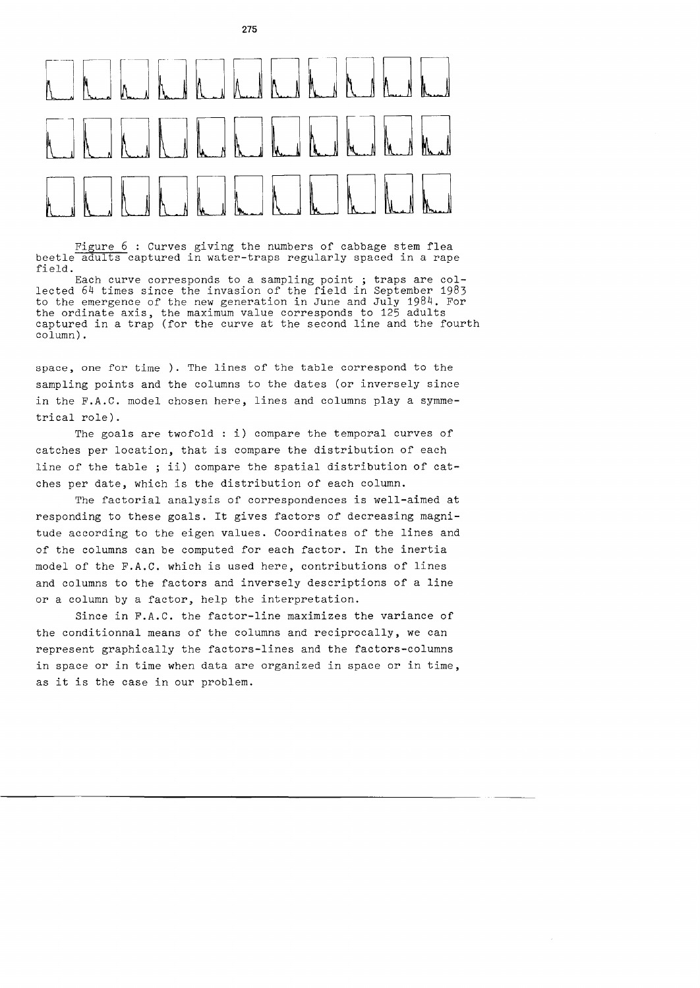

**275** 

Figure  $6:$  Curves giving the numbers of cabbage stem flea beetle adults captured in water-traps regularly spaced in a rape field.

Each curve corresponds to a sampling point ; traps are collected 64 times since the invasion of the field in September 1983 to the emergence of the new generation in June and July 1984. For the ordinate axis, the maximum value corresponds to 125 adults captured in a trap (for the curve at the second line and the fourth column).

space, one for time ). The lines of the table correspond to the sampling points and the columns to the dates (or inversely since in the F.A.C. model chosen here, lines and columns play a symmetrical role).

The goals are twofold : i) compare the temporal curves of catches per location, that is compare the distribution of each line of the table ; ii) compare the spatial distribution of catches per date, which is the distribution of each column.

The factorial analysis of correspondences is well-aimed at responding to these goals. It gives factors of decreasing magnitude according to the eigen values. Coordinates of the lines and of the columns can be computed for each factor. In the inertia model of the F.A.C. which is used here, contributions of lines and columns to the factors and inversely descriptions of a line or a column by a factor, help the interpretation.

Since in F.A.C. the factor-line maximizes the variance of the conditionnal means of the columns and reciprocally, we can represent graphically the factors-lines and the factors-columns in space or in time when data are organized in space or in time, as it is the case in our problem.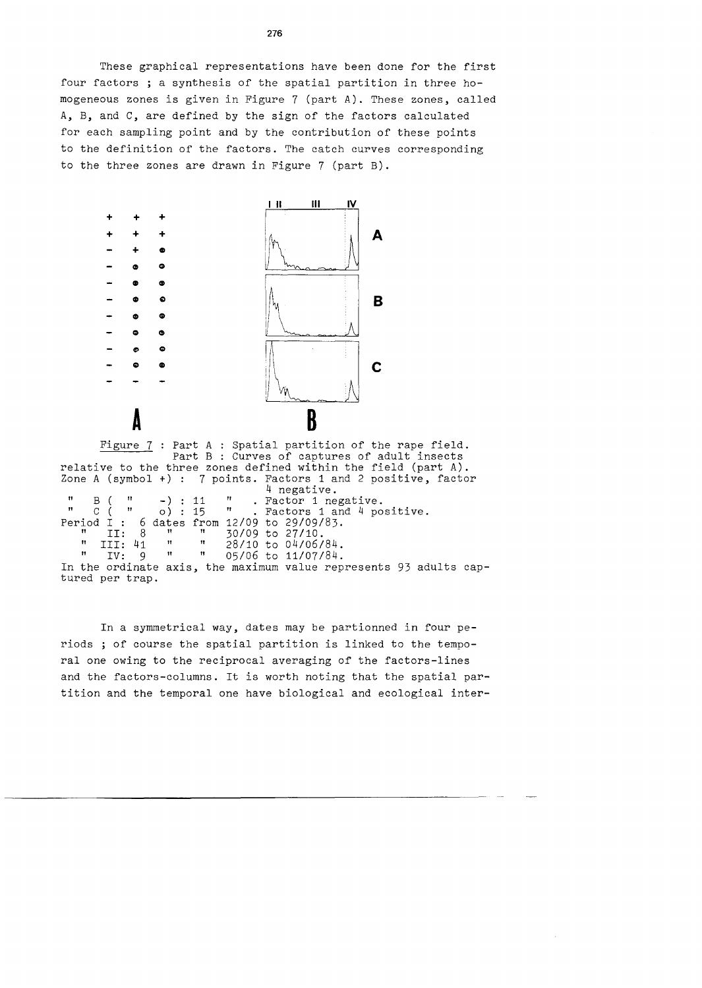These graphical representations have been done for the first four factors ; a synthesis of the spatial partition in three homogeneous zones is given in Figure 7 (part A). These zones, called A, B, and C, are defined by the sign of the factors calculated for each sampling point and by the contribution of these points to the definition of the factors. The catch curves corresponding to the three zones are drawn in Figure 7 (part B).



Figure 7 : Part A : Spatial partition of the rape field. Part B : Curves of captures of adult insects relative to the three zones defined within the field (part A). Zone A (symbol +) : 7 points. Factors 1 and 2 positive, factor 4 negative.  $\begin{array}{cc} \text{''} & \text{B} & \text{''} \\ \text{''} & \text{C} & \text{''} \\ \text{''} & \text{C} & \text{''} \end{array}$  . Factor 1 negative. " c ( " o) : 15 " Factors 1 and 4 positive. Period  $\overline{1}$  : 6 dates from 12/09 to 29/09/83.  $\frac{11}{2}$ : 8  $\frac{11}{2}$  30/09 to 27/10. " II: 8<br>" III: 41<br>" IV: 9  $\mathtt{IV}$  : In the ordinate axis, the maximum value represents 93 adults captured per trap.  $\begin{array}{cc} \text{""} & \text{""} \\ \text{""} & \text{""} \\ \text{""} & \text{""} \\ \text{""} & \text{""} \\ \text{""} & \text{05/06 to } 11/07/84. \end{array}$ 05/06 to 11/07/84.

In a symmetrical way, dates may be partionned in four periods ; of course the spatial partition is linked to the temporal one owing to the reciprocal averaging of the factors-lines and the factors-columns. It is worth noting that the spatial partition and the temporal one have biological and ecological inter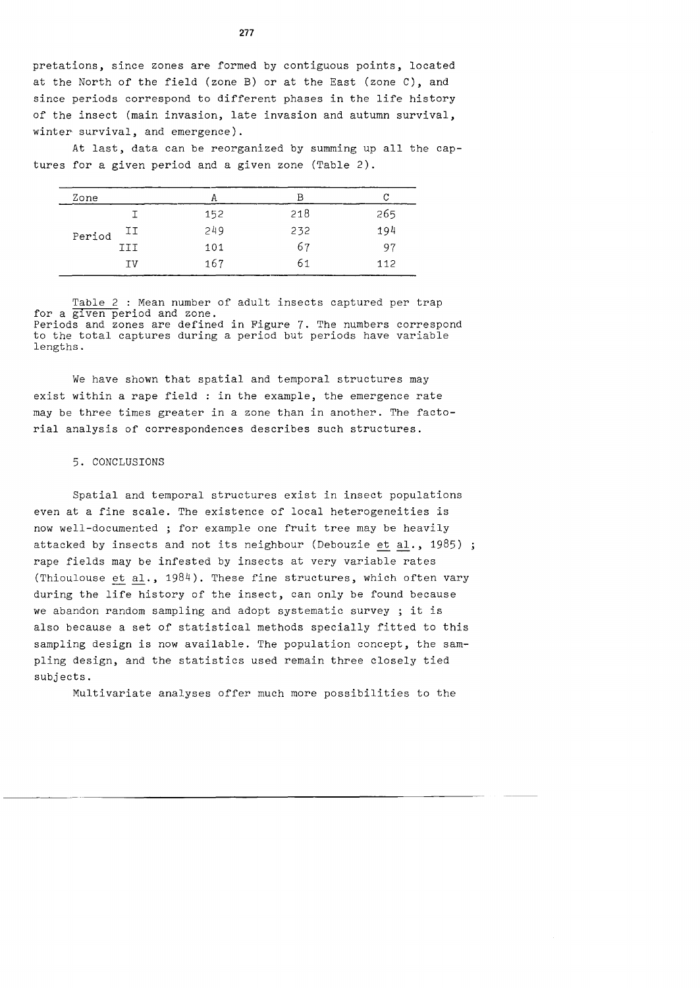pretations, since zones are rormed by contiguous points, located at the North *or* the rield (zone B) or at the East (zone C), and since periods correspond to different phases in the life history of the insect (main invasion, late invasion and autumn survival, winter survival, and emergence).

At last, data can be reorganized by summing up all the captures for a given period and a given zone (Table 2).

| Zone   |     | А   | в   |     |
|--------|-----|-----|-----|-----|
| Period |     | 152 | 218 | 265 |
|        | IJ  | 249 | 232 | 194 |
|        | III | 101 | 67  | 97  |
|        | ΙV  | 167 | 61  | 112 |

Table 2 : Mean number of adult insects captured per trap for a given period and zone. Periods and zones are defined in Figure 7. The numbers correspond to the total captures during a period but periods have variable lengths.

We have shown that spatial and temporal structures may exist within a rape rield : in the example, the emergence rate may be three times greater in a zone than in another. The factorial analysis *or* correspondences describes such structures.

## 5. CONCLUSIONS

Spatial and temporal structures exist in insect populations even at a fine scale. The existence *or* local heterogeneities is now well-documented ; for example one fruit tree may be heavily attacked by insects and not its neighbour (Debouzie et al., 1985) ; rape fields may be inrested by insects at very variable rates (Thioulouse et al., 1984). These fine structures, which often vary during the lire history of the insect, can only be found because we abandon random sampling and adopt systematic survey ; it is also because a set *or* statistical methods specially ritted to this sampling design is now available. The population concept, the sampling design, and the statistics used remain three closely tied subjects.

Multivariate analyses offer much more possibilities to the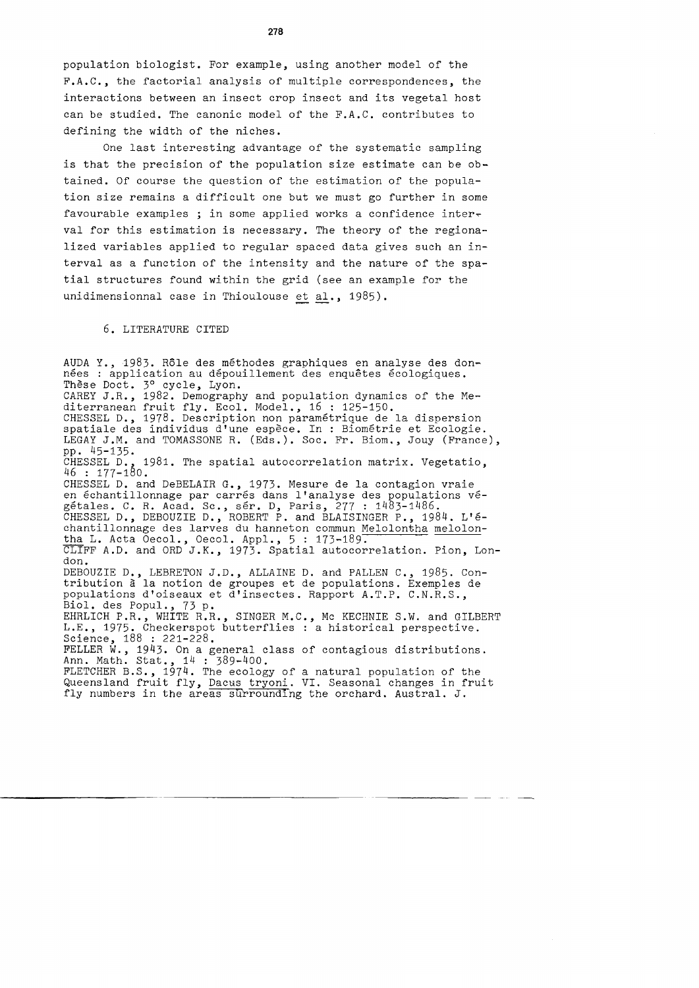population biologist. For example, using another model of the F.A.C., the factorial analysis of multiple correspondences, the interactions between an insect crop insect and its vegetal host can be studied. The canonic model of the F.A.C. contributes to defining the width of the niches.

One last interesting advantage of the systematic sampling is that the precision of the population size estimate can be obtained. Of course the question of the estimation of the population size remains a difficult one but we must go further in some favourable examples ; in some applied works a confidence inter~ val for this estimation is necessary. The theory of the regionalized variables applied to regular spaced data gives such an interval as a function of the intensity and the nature of the spatial structures found within the grid (see an example for the unidimensionnal case in Thioulouse et al., 1985).

6. LITERATURE CITED

AUDA Y., 1983. Rôle des méthodes graphiques en analyse des données : application au dépouillement des enquêtes écologiques. These Doct. 3° cycle, Lyon. CAREY J.R., 1982. Demography and population dynamics of the Mediterranean fruit fly. Ecol. Model., 16: 125-150. CHESSEL D., 1978. Description non param§trique de la dispersion spatiale des individus d'une espece. In : Biom§trie et Ecologie. LEGAY J.M. and TOMASSONE R. (Eds.). Soc. Fr. Biom., Jouy (France), pp. 45-135. 1981. The spatial autocorrelation matrix. Vegetatio, CHESSEL D., 1<br>46 : 177-180. CHESSEL D. and DeBELAIR G., 1973. Mesure de la contagion vraie en échantillonnage par carrés dans l'analyse des populations végetales. C. R. Acad. Sc., ser. D, Paris, 277 : 1483-1486. CHESSEL D., DEBOUZIE D., ROBERT P. and BLAISINGER P., 1984. L'echantillonnage des larves du hanneton commun Melolontha melolontha L. Acta Oecol., Oecol. Appl.,  $5:173-189$ . CLIFF A.D. and ORD J.K., 1973. Spatial autocorrelation. Pion, London. DEBOUZIE D., LEBRETON J.D., ALLAINE D. and PALLEN C., 1985. Contribution a la notion de groupes et de populations. Exemples de populations d'oiseaux et d'insectes. Rapport A.T.P. C.N.R.S., Biol. des Popul., 73 p. EHRLICH P.R., WHITE R.R., SINGER M.C., Mc KECHNIE S.W. and GILBERT L.E., 1975. Checkerspot butterflies : a historical perspective. Science, 188 : 221-228. FELLER W., 1943. On a general class of contagious distributions. Ann. Math. Stat., 14: 389-400. FLETCHER B.S., 1974. The ecology of a natural population of the existency fight. The ecosic of a hacial population of the Queensland fruit fly, Dacus tryoni. VI. Seasonal changes in fruit fly numbers in the areas surrounding the orchard. Austral. J.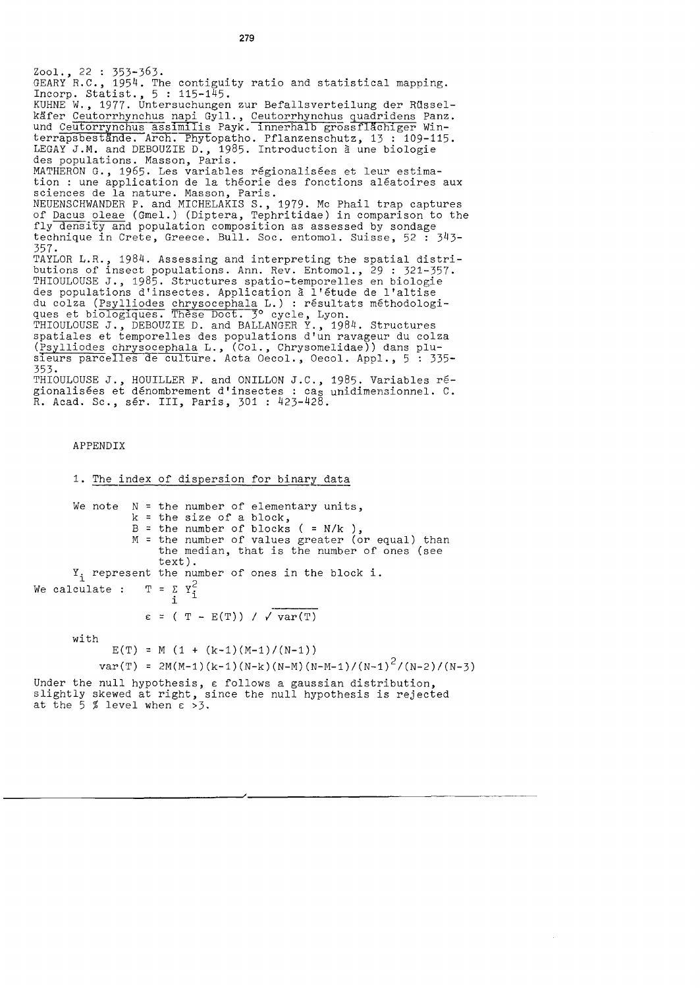Zool., 22 : 353-363. GEARY R.C., 1954. The contiguity ratio and statistical mapping.  $\frac{1}{2}$  Incorp. Statist.,  $5 : 115-145$ . KUHNE W., 1977. Untersuchungen zur Befallsverteilung der Russelkäfer Ceutorrhynchus napi Gyll., Ceutorrhynchus quadridens Panz. und Ceutorrynchus assimilis Payk. Innerhalb grossflachiger Winterrapsbestände. Arch. Phytopatho. Pflanzenschutz, 13 : 109-115. LEGAY J.M. and DEBOUZIE D., 1985. Introduction à une biologie des populations. Masson, Paris. MATHERON G., 1965. Les variables regionalisees et leur estimation : une application de la theorie des fonctions aleatoires aux sciences de la nature. Masson, Paris. NEUENSCHWANDER P. and MICHELAKIS S., 1979. Me Phail trap captures of Dacus oleae (Gmel.) (Diptera, Tephritidae) in comparison to the fly density and population composition as assessed by sondage technique in Crete, Greece. Bull. Soc. entomol. Suisse, 52 : 343- 357. TAYLOR L.R., 1984. Assessing and interpreting the spatial distributions of insect populations. Ann. Rev. Entomol., 29 : 321-357. THIOULOUSE *J.,* 1985. Structures spatio-temporelles en biologie des populations d'insectes. Application a l'etude de l'altise du colza (Psylliodes chrysocephala L.) : resultats methodologiques et biologiques. Thèse Doct. 3° cycle, Lyon. THIOULOUSE *J.,* DEBOUZIE D. and BALLANGER Y., 1984. Structures spatiales et temporelles des populations d'un ravageur du colza (Psylliodes chrysocephala L., (Col., Chrysomelidae)) dans plusieurs parcelles de culture. Acta Oecol., Oecol. Appl., 5 : 335-353. THIOULOUSE *J.,* HOUILLER F. and ONILLON *J.C.,* 1985. Variables regionalisées et dénombrement d'insectes : cas unidimensionnel. C. R. Acad. Sc., ser. III, Paris, 301 : 423-428.

### APPENDIX

1. The index of dispersion for binary data We note  $N =$  the number of elementary units, k = the size of a block, B  $\begin{array}{ccc} B & = \\ M & = \end{array}$ = the number of blocks  $($  = N/k  $)$ , the number of values greater (or equal) than the median, that is the number of ones (see text).  $Y_i$  represent the number of ones in the block i. We calculate :  $T = \sum_{i=1}^{N} Y_i^2$  $\epsilon$  = ( T - E(T)) /  $\sqrt{var(T)}$ 

with

 $E(T) = M (1 + (k-1)(M-1)/(N-1))$ 

var(T) = 2M(M-1)(k-1)(N-k)(N-M)(N-M-1)/(N-1) <sup>2</sup> /(N-2)/(N-3)

Under the null hypothesis, E follows a gaussian distribution, slightly skewed at right, since the null hypothesis is rejected at the  $5 \frac{3}{2}$  level when  $\epsilon > 3$ .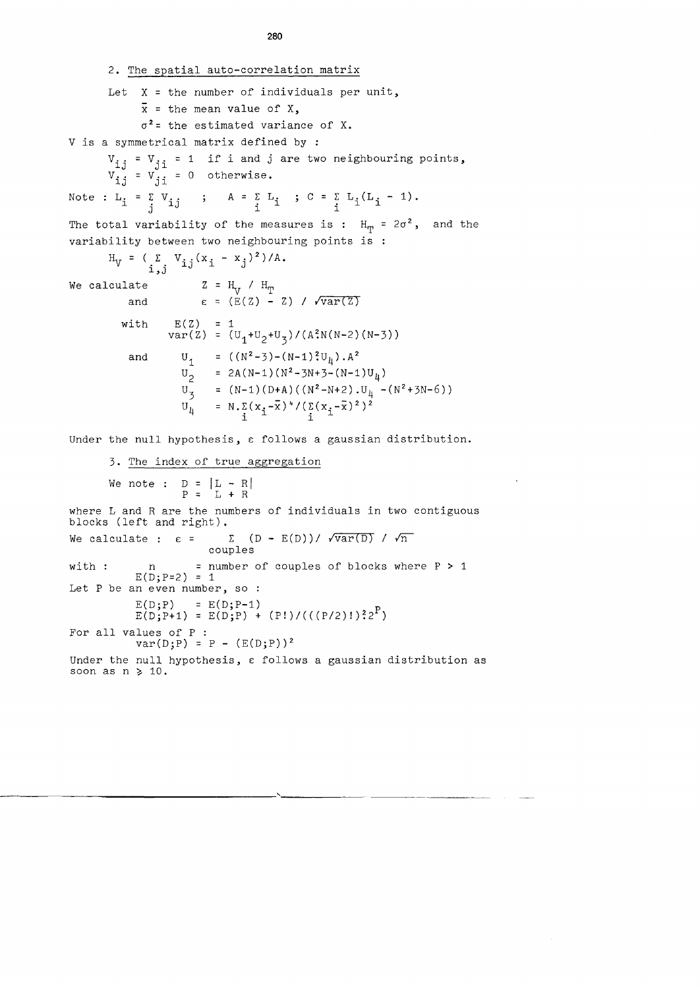2. The spatial auto-correlation matrix Let  $X$  = the number of individuals per unit,  $\bar{x}$  = the mean value of  $X$ ,  $\sigma^2$  = the estimated variance of X. V is a symmetrical matrix defined by :  $V_{\text{i},j} = V_{\text{j},i} = 1$  if i and j are two neighbouring points,  $V_{ij}^{\perp j} = V_{ji}^{\perp 1} = 0$  otherwise. Note :  $L_i = \sum_j V_{i,j}$  ;  $A = \sum_i L_i$  ;  $C = \sum_i L_i (L_i - 1)$ . The total variability of the measures is :  $H_m = 2\sigma^2$ , and the variability between two neighbouring points is  $H_V = (\sum_{i,j} V_{ij}(x_i - x_j)^2) / A.$ We calculate and with and  $Z = H_V / H_T$ <br> $\epsilon = (E(Z) - Z) / \sqrt{var(Z)}$  $E(Z) = 1$ var(Z) =  $(U_1+U_2+U_3)/ (A^2N(N-2) (N-3))$ =  $((N^2-3)-(N-1)^2U_{\mu})$ . A<sup>2</sup> 2A(N-1)(N<sup>2</sup>-3N+3-(N-1)U<sub>4</sub>) =  $(N-1) (D+A) ((N^2-N+2) .U_{\mu} -(N^2+3N-6))$  $N.\sum_{i} (x_i-\overline{x})^4 / (\sum_{i} (x_i-\overline{x})^2)^2$ Under the null hypothesis, a follows a gaussian distribution. 3. The index of true aggregation We note :  $D = |L - R|$  $P = L + R$ where L and R are the numbers of individuals in two contiguous blocks (left and right). We calculate :  $\varepsilon = \sum (D - E(D)) / \sqrt{var(D)} / \sqrt{n}$ couples with :  $n = number of couples of blocks where  $P > 1$$  $E(D; P=2) = 1$ Let P be an even number, so :  $E(D;P) = E(D;P-1)$  $E(D;P+1) = E(D;P) + (P!) / ((P/2)!)^2 2^P$ For all values of P : rues of P :<br>var(D;P) = P - (E(D;P))<sup>2</sup> Under the null hypothesis, E follows a gaussian distribution as soon as  $n \geq 10$ .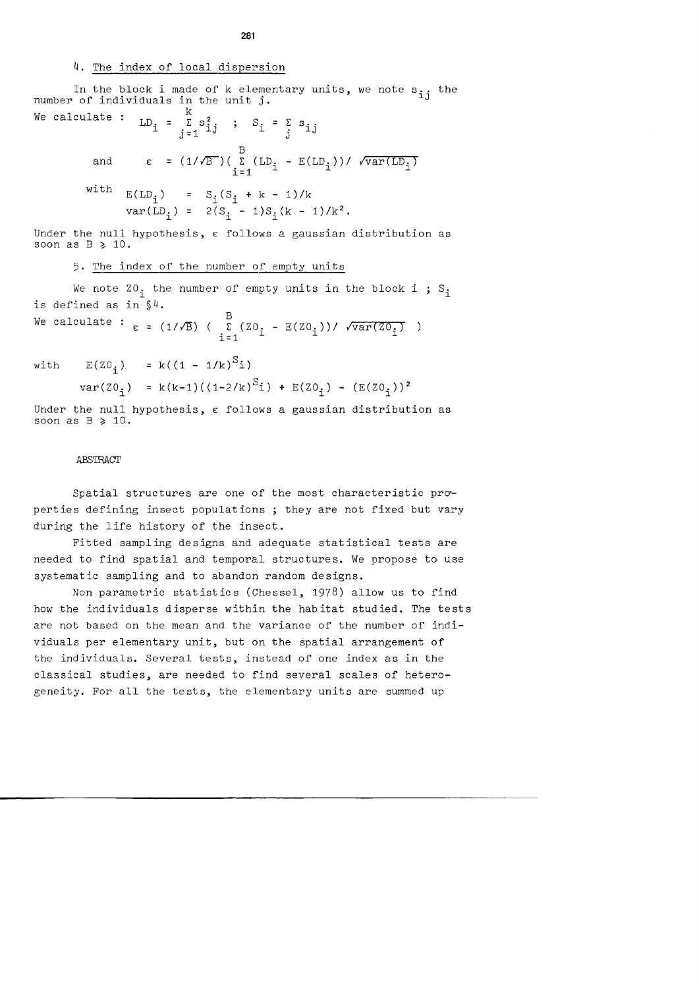# 4. The index of local dispersion

In the block i made of number of individuals in the k elementary units, we note s<sub>ij</sub> the<br>unit j. We calculate :  $\frac{1}{2}$ 

and 
$$
LD_{i} = \sum_{j=1}^{E} s_{ij}^{s} ; S_{i} = \sum_{j=1}^{E} s_{ij}
$$
  
and 
$$
\epsilon = (1/\sqrt{B})(\sum_{i=1}^{B} (LD_{i} - E(LD_{i})) / \sqrt{var(LD_{i})}
$$
  
with 
$$
E(LD_{i}) = S_{i}(S_{i} + k - 1)/k
$$

var(L)<sub>i</sub> = 
$$
2(S_i - 1)S_i(k - 1)/k^2
$$
.

Under the null hypothesis,  $\varepsilon$  follows a gaussian distribution as soon as  $B \geq 10$ .

# 5. The index of the number of empty units

We note  $z_0$  the number of empty units in the block i; S<sub>i</sub> is defined as in §4.

We calculate :  $\epsilon = (1/\sqrt{B}) \left( \begin{array}{cc} B & (Z0 & -E(Z0_i)) / \sqrt{var(Z0_i)} \\ i=1 & \end{array} \right)$ 

with  $E(Z0_i) = k((1 - 1/k)^{S_i})$ 

var(ZOi) k(k-1)((1-2/k)Si) + E(ZOi) - (E(ZOi)) <sup>2</sup>

Under the null hypothesis,  $\varepsilon$  follows a gaussian distribution as soon as  $B \geq 10$ .

## ABSTRACT

Spatial structures are one of the most characteristic properties defining insect populations ; they are not fixed but vary during the life history of the insect.

Fitted sampling designs and adequate statistical tests are needed to find spatial and temporal structures. We propose to use systematic sampling and to abandon random designs.

Non parametric statistics (Chessel, 1978) allow us to find how the individuals disperse within the habitat studied. The tests are not based on the mean and the variance of the number of individuals per elementary unit, but on the spatial arrangement of the individuals. Several tests, instead of one index as in the classical studies, are needed to find several scales of heterogeneity. For all the tests, the elementary units are summed up